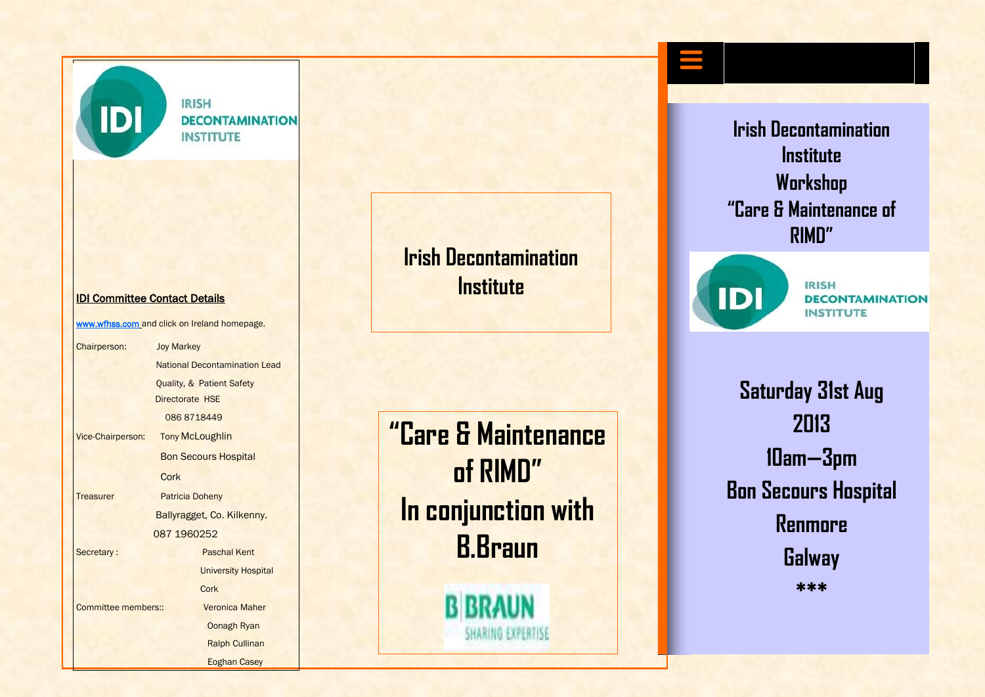**IDI** 

**IRISH DECONTAMINATION INSTITUTE** 

#### IDI Committee Contact Details

[www.wfhss.com](http://www.wfhss.com/) and click on Ireland homepage. Chairperson: Joy Markey National Decontamination Lead Quality, & Patient Safety Directorate HSE 086 8718449 Vice-Chairperson: Tony McLoughlin Bon Secours Hospital **Cork** Treasurer Patricia Doheny Ballyragget, Co. Kilkenny. 087 1960252 Secretary : Paschal Kent University Hospital **Cork** Committee members:: Veronica Maher Oonagh Ryan Ralph Cullinan Eoghan Casey

# **Irish Decontamination Institute**

**"Care & Maintenance of RIMD" In conjunction with B.Braun**

**B BRAUN** 

SHARING EXPERTISE

**Irish Decontamination Institute Workshop "Care & Maintenance of RIMD"**



**IRISH DECONTAMINATION INSTITUTE** 

**Saturday 31st Aug 2013 10am—3pm Bon Secours Hospital Renmore Galway \*\*\***